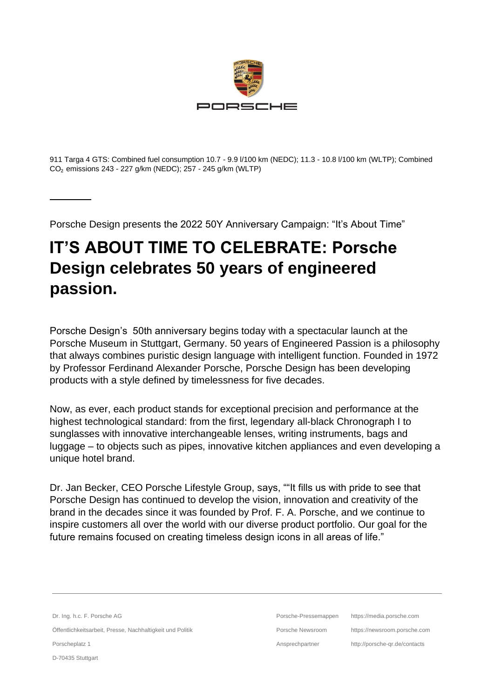

911 Targa 4 GTS: Combined fuel consumption 10.7 - 9.9 l/100 km (NEDC); 11.3 - 10.8 l/100 km (WLTP); Combined CO₂ emissions 243 - 227 g/km (NEDC); 257 - 245 g/km (WLTP)

Porsche Design presents the 2022 50Y Anniversary Campaign: "It's About Time"

# **IT'S ABOUT TIME TO CELEBRATE: Porsche Design celebrates 50 years of engineered passion.**

Porsche Design's 50th anniversary begins today with a spectacular launch at the Porsche Museum in Stuttgart, Germany. 50 years of Engineered Passion is a philosophy that always combines puristic design language with intelligent function. Founded in 1972 by Professor Ferdinand Alexander Porsche, Porsche Design has been developing products with a style defined by timelessness for five decades.

Now, as ever, each product stands for exceptional precision and performance at the highest technological standard: from the first, legendary all-black Chronograph I to sunglasses with innovative interchangeable lenses, writing instruments, bags and luggage – to objects such as pipes, innovative kitchen appliances and even developing a unique hotel brand.

Dr. Jan Becker, CEO Porsche Lifestyle Group, says, ""It fills us with pride to see that Porsche Design has continued to develop the vision, innovation and creativity of the brand in the decades since it was founded by Prof. F. A. Porsche, and we continue to inspire customers all over the world with our diverse product portfolio. Our goal for the future remains focused on creating timeless design icons in all areas of life."

Dr. Ing. h.c. F. Porsche AG Öffentlichkeitsarbeit, Presse, Nachhaltigkeit und Politik Porscheplatz 1 D-70435 Stuttgart Porsche-Pressemappen Porsche Newsroom Ansprechpartner https://media.porsche.com https://newsroom.porsche.com http://porsche-qr.de/contacts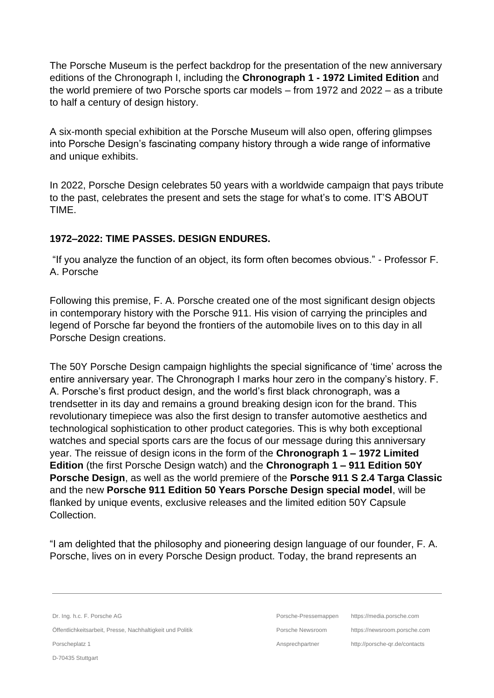The Porsche Museum is the perfect backdrop for the presentation of the new anniversary editions of the Chronograph I, including the **Chronograph 1 - 1972 Limited Edition** and the world premiere of two Porsche sports car models – from 1972 and 2022 – as a tribute to half a century of design history.

A six-month special exhibition at the Porsche Museum will also open, offering glimpses into Porsche Design's fascinating company history through a wide range of informative and unique exhibits.

In 2022, Porsche Design celebrates 50 years with a worldwide campaign that pays tribute to the past, celebrates the present and sets the stage for what's to come. IT'S ABOUT TIME.

## **1972–2022: TIME PASSES. DESIGN ENDURES.**

"If you analyze the function of an object, its form often becomes obvious." - Professor F. A. Porsche

Following this premise, F. A. Porsche created one of the most significant design objects in contemporary history with the Porsche 911. His vision of carrying the principles and legend of Porsche far beyond the frontiers of the automobile lives on to this day in all Porsche Design creations.

The 50Y Porsche Design campaign highlights the special significance of 'time' across the entire anniversary year. The Chronograph I marks hour zero in the company's history. F. A. Porsche's first product design, and the world's first black chronograph, was a trendsetter in its day and remains a ground breaking design icon for the brand. This revolutionary timepiece was also the first design to transfer automotive aesthetics and technological sophistication to other product categories. This is why both exceptional watches and special sports cars are the focus of our message during this anniversary year. The reissue of design icons in the form of the **Chronograph 1 – 1972 Limited Edition** (the first Porsche Design watch) and the **Chronograph 1 – 911 Edition 50Y Porsche Design**, as well as the world premiere of the **Porsche 911 S 2.4 Targa Classic** and the new **Porsche 911 Edition 50 Years Porsche Design special model**, will be flanked by unique events, exclusive releases and the limited edition 50Y Capsule Collection.

"I am delighted that the philosophy and pioneering design language of our founder, F. A. Porsche, lives on in every Porsche Design product. Today, the brand represents an

| Dr. Ing. h.c. F. Porsche AG                               | Porsche-Pressemappen | https://media.porsche.com     |
|-----------------------------------------------------------|----------------------|-------------------------------|
| Öffentlichkeitsarbeit, Presse, Nachhaltigkeit und Politik | Porsche Newsroom     | https://newsroom.porsche.com  |
| Porscheplatz 1                                            | Ansprechpartner      | http://porsche-gr.de/contacts |
| D-70435 Stuttgart                                         |                      |                               |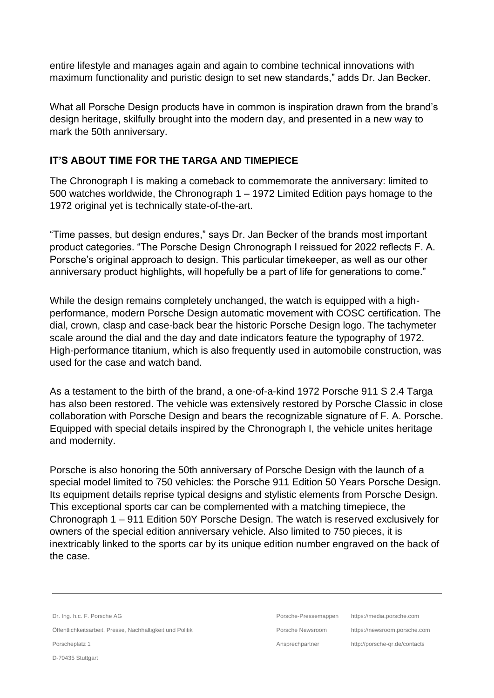entire lifestyle and manages again and again to combine technical innovations with maximum functionality and puristic design to set new standards," adds Dr. Jan Becker.

What all Porsche Design products have in common is inspiration drawn from the brand's design heritage, skilfully brought into the modern day, and presented in a new way to mark the 50th anniversary.

#### **IT'S ABOUT TIME FOR THE TARGA AND TIMEPIECE**

The Chronograph I is making a comeback to commemorate the anniversary: limited to 500 watches worldwide, the Chronograph 1 – 1972 Limited Edition pays homage to the 1972 original yet is technically state-of-the-art.

"Time passes, but design endures," says Dr. Jan Becker of the brands most important product categories. "The Porsche Design Chronograph I reissued for 2022 reflects F. A. Porsche's original approach to design. This particular timekeeper, as well as our other anniversary product highlights, will hopefully be a part of life for generations to come."

While the design remains completely unchanged, the watch is equipped with a highperformance, modern Porsche Design automatic movement with COSC certification. The dial, crown, clasp and case-back bear the historic Porsche Design logo. The tachymeter scale around the dial and the day and date indicators feature the typography of 1972. High-performance titanium, which is also frequently used in automobile construction, was used for the case and watch band.

As a testament to the birth of the brand, a one-of-a-kind 1972 Porsche 911 S 2.4 Targa has also been restored. The vehicle was extensively restored by Porsche Classic in close collaboration with Porsche Design and bears the recognizable signature of F. A. Porsche. Equipped with special details inspired by the Chronograph I, the vehicle unites heritage and modernity.

Porsche is also honoring the 50th anniversary of Porsche Design with the launch of a special model limited to 750 vehicles: the Porsche 911 Edition 50 Years Porsche Design. Its equipment details reprise typical designs and stylistic elements from Porsche Design. This exceptional sports car can be complemented with a matching timepiece, the Chronograph 1 – 911 Edition 50Y Porsche Design. The watch is reserved exclusively for owners of the special edition anniversary vehicle. Also limited to 750 pieces, it is inextricably linked to the sports car by its unique edition number engraved on the back of the case.

Dr. Ing. h.c. F. Porsche AG Öffentlichkeitsarbeit, Presse, Nachhaltigkeit und Politik Porscheplatz 1

Porsche-Pressemappen

https://media.porsche.com

Porsche Newsroom

https://newsroom.porsche.com

Ansprechpartner

http://porsche-qr.de/contacts

D-70435 Stuttgart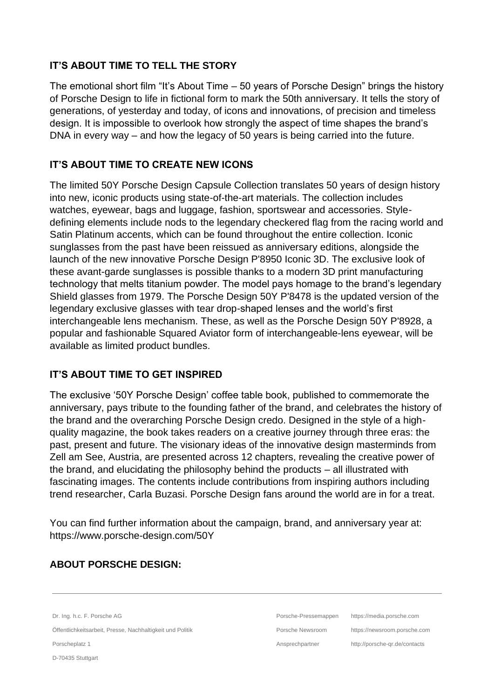# **IT'S ABOUT TIME TO TELL THE STORY**

The emotional short film "It's About Time – 50 years of Porsche Design" brings the history of Porsche Design to life in fictional form to mark the 50th anniversary. It tells the story of generations, of yesterday and today, of icons and innovations, of precision and timeless design. It is impossible to overlook how strongly the aspect of time shapes the brand's DNA in every way – and how the legacy of 50 years is being carried into the future.

# **IT'S ABOUT TIME TO CREATE NEW ICONS**

The limited 50Y Porsche Design Capsule Collection translates 50 years of design history into new, iconic products using state-of-the-art materials. The collection includes watches, eyewear, bags and luggage, fashion, sportswear and accessories. Styledefining elements include nods to the legendary checkered flag from the racing world and Satin Platinum accents, which can be found throughout the entire collection. Iconic sunglasses from the past have been reissued as anniversary editions, alongside the launch of the new innovative Porsche Design P'8950 Iconic 3D. The exclusive look of these avant-garde sunglasses is possible thanks to a modern 3D print manufacturing technology that melts titanium powder. The model pays homage to the brand's legendary Shield glasses from 1979. The Porsche Design 50Y P'8478 is the updated version of the legendary exclusive glasses with tear drop-shaped lenses and the world's first interchangeable lens mechanism. These, as well as the Porsche Design 50Y P'8928, a popular and fashionable Squared Aviator form of interchangeable-lens eyewear, will be available as limited product bundles.

## **IT'S ABOUT TIME TO GET INSPIRED**

The exclusive '50Y Porsche Design' coffee table book, published to commemorate the anniversary, pays tribute to the founding father of the brand, and celebrates the history of the brand and the overarching Porsche Design credo. Designed in the style of a highquality magazine, the book takes readers on a creative journey through three eras: the past, present and future. The visionary ideas of the innovative design masterminds from Zell am See, Austria, are presented across 12 chapters, revealing the creative power of the brand, and elucidating the philosophy behind the products – all illustrated with fascinating images. The contents include contributions from inspiring authors including trend researcher, Carla Buzasi. Porsche Design fans around the world are in for a treat.

You can find further information about the campaign, brand, and anniversary year at: <https://www.porsche-design.com/50Y>

## **ABOUT PORSCHE DESIGN:**

Dr. Ing. h.c. F. Porsche AG

Öffentlichkeitsarbeit, Presse, Nachhaltigkeit und Politik

Porscheplatz 1

D-70435 Stuttgart

Porsche-Pressemappen Porsche Newsroom

https://media.porsche.com

https://newsroom.porsche.com

Ansprechpartner